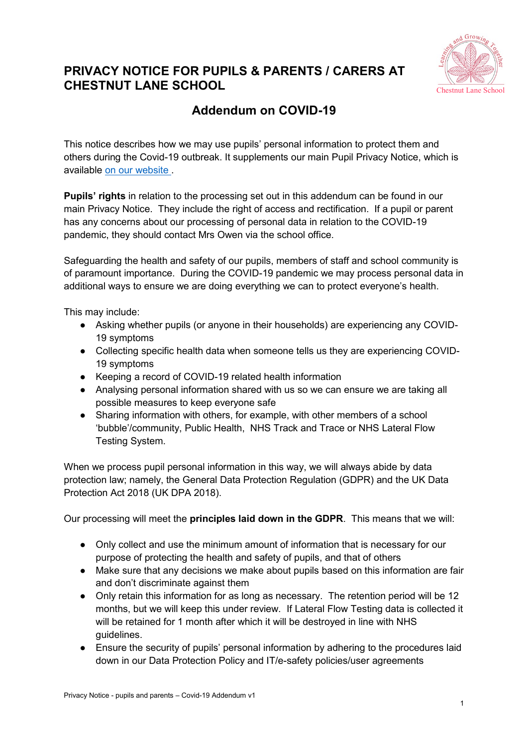

## **PRIVACY NOTICE FOR PUPILS & PARENTS / CARERS AT CHESTNUT LANE SCHOOL**

## **Addendum on COVID-19**

This notice describes how we may use pupils' personal information to protect them and others during the Covid-19 outbreak. It supplements our main Pupil Privacy Notice, which is available [on our website](https://chestnutlane.bucks.sch.uk/files/c0b2a01c298d3afddaa4e1571202d090.pdf) .

**Pupils' rights** in relation to the processing set out in this addendum can be found in our main Privacy Notice. They include the right of access and rectification. If a pupil or parent has any concerns about our processing of personal data in relation to the COVID-19 pandemic, they should contact Mrs Owen via the school office.

Safeguarding the health and safety of our pupils, members of staff and school community is of paramount importance. During the COVID-19 pandemic we may process personal data in additional ways to ensure we are doing everything we can to protect everyone's health.

This may include:

- Asking whether pupils (or anyone in their households) are experiencing any COVID-19 symptoms
- Collecting specific health data when someone tells us they are experiencing COVID-19 symptoms
- Keeping a record of COVID-19 related health information
- Analysing personal information shared with us so we can ensure we are taking all possible measures to keep everyone safe
- Sharing information with others, for example, with other members of a school 'bubble'/community, Public Health, NHS Track and Trace or NHS Lateral Flow Testing System.

When we process pupil personal information in this way, we will always abide by data protection law; namely, the General Data Protection Regulation (GDPR) and the UK Data Protection Act 2018 (UK DPA 2018).

Our processing will meet the **principles laid down in the GDPR**. This means that we will:

- Only collect and use the minimum amount of information that is necessary for our purpose of protecting the health and safety of pupils, and that of others
- Make sure that any decisions we make about pupils based on this information are fair and don't discriminate against them
- Only retain this information for as long as necessary. The retention period will be 12 months, but we will keep this under review. If Lateral Flow Testing data is collected it will be retained for 1 month after which it will be destroyed in line with NHS guidelines.
- Ensure the security of pupils' personal information by adhering to the procedures laid down in our Data Protection Policy and IT/e-safety policies/user agreements